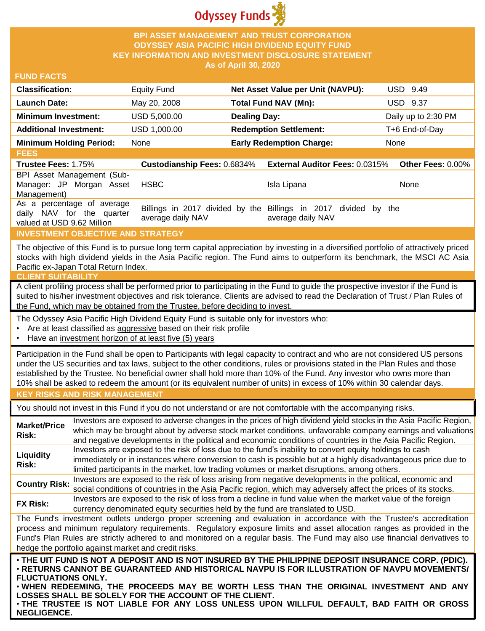

### **BPI ASSET MANAGEMENT AND TRUST CORPORATION ODYSSEY ASIA PACIFIC HIGH DIVIDEND EQUITY FUND KEY INFORMATION AND INVESTMENT DISCLOSURE STATEMENT As of April 30, 2020**

#### **FUND FACTS**

| <b>Classification:</b>         | Equity Fund  | Net Asset Value per Unit (NAVPU): | USD 9.49            |
|--------------------------------|--------------|-----------------------------------|---------------------|
| <b>Launch Date:</b>            | May 20, 2008 | Total Fund NAV (Mn):              | <b>USD 9.37</b>     |
| <b>Minimum Investment:</b>     | USD 5,000,00 | <b>Dealing Day:</b>               | Daily up to 2:30 PM |
| <b>Additional Investment:</b>  | USD 1,000.00 | <b>Redemption Settlement:</b>     | T+6 End-of-Day      |
| <b>Minimum Holding Period:</b> | None         | <b>Early Redemption Charge:</b>   | None                |

**FEES Trustee Fees:** 1.75% **Custodianship Fees:** 0.6834% **External Auditor Fees:** 0.0315% **Other Fees:** 0.00% BPI Asset Management (Sub-Manager: JP Morgan Asset Management) HSBC Isla Lipana None As a percentage of average daily NAV for the quarter valued at USD 9.62 Million Billings in 2017 divided by the Billings in 2017 divided by the average daily NAV average daily NAV

### **INVESTMENT OBJECTIVE AND STRATEGY**

The objective of this Fund is to pursue long term capital appreciation by investing in a diversified portfolio of attractively priced stocks with high dividend yields in the Asia Pacific region. The Fund aims to outperform its benchmark, the MSCI AC Asia Pacific ex-Japan Total Return Index.

#### **CLIENT SUITABILITY**

A client profiling process shall be performed prior to participating in the Fund to guide the prospective investor if the Fund is suited to his/her investment objectives and risk tolerance. Clients are advised to read the Declaration of Trust / Plan Rules of the Fund, which may be obtained from the Trustee, before deciding to invest.

The Odyssey Asia Pacific High Dividend Equity Fund is suitable only for investors who:

- Are at least classified as aggressive based on their risk profile
- Have an investment horizon of at least five (5) years

Participation in the Fund shall be open to Participants with legal capacity to contract and who are not considered US persons under the US securities and tax laws, subject to the other conditions, rules or provisions stated in the Plan Rules and those established by the Trustee. No beneficial owner shall hold more than 10% of the Fund. Any investor who owns more than 10% shall be asked to redeem the amount (or its equivalent number of units) in excess of 10% within 30 calendar days.

### **KEY RISKS AND RISK MANAGEMENT**

You should not invest in this Fund if you do not understand or are not comfortable with the accompanying risks.

**Market/Price Risk:** Investors are exposed to adverse changes in the prices of high dividend yield stocks in the Asia Pacific Region, which may be brought about by adverse stock market conditions, unfavorable company earnings and valuations and negative developments in the political and economic conditions of countries in the Asia Pacific Region. **Liquidity Risk:** Investors are exposed to the risk of loss due to the fund's inability to convert equity holdings to cash immediately or in instances where conversion to cash is possible but at a highly disadvantageous price due to limited participants in the market, low trading volumes or market disruptions, among others. **Country Risk:** Investors are exposed to the risk of loss arising from negative developments in the political, economic and<br>Country Risk: experiment is and countries in the Asia Resification which were at your above at the

social conditions of countries in the Asia Pacific region, which may adversely affect the prices of its stocks. **FX Risk:** Investors are exposed to the risk of loss from a decline in fund value when the market value of the foreign

currency denominated equity securities held by the fund are translated to USD.

The Fund's investment outlets undergo proper screening and evaluation in accordance with the Trustee's accreditation process and minimum regulatory requirements. Regulatory exposure limits and asset allocation ranges as provided in the Fund's Plan Rules are strictly adhered to and monitored on a regular basis. The Fund may also use financial derivatives to hedge the portfolio against market and credit risks.

. THE UIT FUND IS NOT A DEPOSIT AND IS NOT INSURED BY THE PHILIPPINE DEPOSIT INSURANCE CORP. (PDIC). • **RETURNS CANNOT BE GUARANTEED AND HISTORICAL NAVPU IS FOR ILLUSTRATION OF NAVPU MOVEMENTS/ FLUCTUATIONS ONLY.**

• **WHEN REDEEMING, THE PROCEEDS MAY BE WORTH LESS THAN THE ORIGINAL INVESTMENT AND ANY LOSSES SHALL BE SOLELY FOR THE ACCOUNT OF THE CLIENT.**

• **THE TRUSTEE IS NOT LIABLE FOR ANY LOSS UNLESS UPON WILLFUL DEFAULT, BAD FAITH OR GROSS NEGLIGENCE.**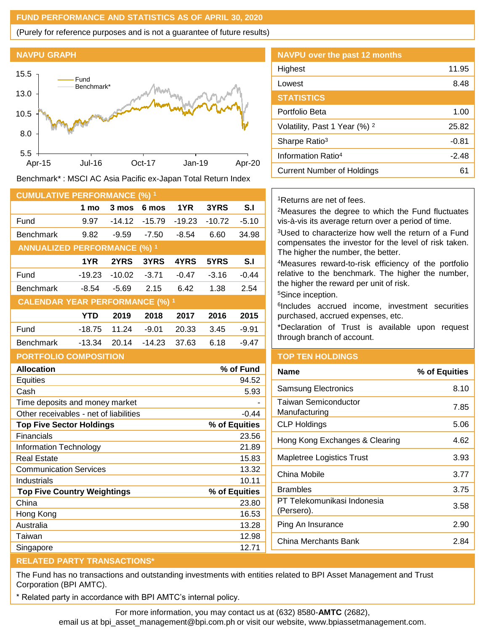## **FUND PERFORMANCE AND STATISTICS AS OF APRIL 30, 2020**

(Purely for reference purposes and is not a guarantee of future results)





Benchmark\* : MSCI AC Asia Pacific ex-Japan Total Return Index

| <b>CUMULATIVE PERFORMANCE (%) 1</b>               |            |          |          |          |               |           |  |
|---------------------------------------------------|------------|----------|----------|----------|---------------|-----------|--|
|                                                   | 1 mo       | 3 mos    | 6 mos    | 1YR.     | 3YRS          | S.I       |  |
| Fund                                              | 9.97       | $-14.12$ | $-15.79$ | $-19.23$ | $-10.72$      | $-5.10$   |  |
| <b>Benchmark</b>                                  | 9.82       | $-9.59$  | $-7.50$  | $-8.54$  | 6.60          | 34.98     |  |
| <b>ANNUALIZED PERFORMANCE (%) 1</b>               |            |          |          |          |               |           |  |
|                                                   | 1YR        | 2YRS     | 3YRS     | 4YRS     | 5YRS          | S.I       |  |
| Fund                                              | $-19.23$   | $-10.02$ | $-3.71$  | $-0.47$  | $-3.16$       | $-0.44$   |  |
| <b>Benchmark</b>                                  | $-8.54$    | $-5.69$  | 2.15     | 6.42     | 1.38          | 2.54      |  |
| <b>CALENDAR YEAR PERFORMANCE (%) 1</b>            |            |          |          |          |               |           |  |
|                                                   | <b>YTD</b> | 2019     | 2018     | 2017     | 2016          | 2015      |  |
| Fund                                              | $-18.75$   | 11.24    | $-9.01$  | 20.33    | 3.45          | $-9.91$   |  |
| <b>Benchmark</b>                                  | $-13.34$   | 20.14    | $-14.23$ | 37.63    | 6.18          | $-9.47$   |  |
| <b>PORTFOLIO COMPOSITION</b>                      |            |          |          |          |               |           |  |
| <b>Allocation</b>                                 |            |          |          |          |               | % of Fund |  |
| Equities                                          |            |          |          |          |               | 94.52     |  |
| Cash                                              |            |          |          |          |               | 5.93      |  |
| Time deposits and money market                    |            |          |          |          |               |           |  |
| Other receivables - net of liabilities<br>$-0.44$ |            |          |          |          |               |           |  |
| <b>Top Five Sector Holdings</b>                   |            |          |          |          | % of Equities |           |  |
| <b>Financials</b>                                 |            |          |          |          |               | 23.56     |  |
| <b>Information Technology</b>                     |            |          |          |          |               | 21.89     |  |
| <b>Real Estate</b>                                |            |          |          |          | 15.83         |           |  |

Communication Services 13.32 Industrials 10.11 **Top Five Country Weightings % of Equities** China 23.80 Hong Kong 16.53 Australia 13.28 Taiwan 12.98 Singapore 12.71

| <b>NAVPU over the past 12 months</b>     |         |
|------------------------------------------|---------|
| Highest                                  | 11.95   |
| Lowest                                   | 8.48    |
| <b>STATISTICS</b>                        |         |
| Portfolio Beta                           | 1.00    |
| Volatility, Past 1 Year (%) <sup>2</sup> | 25.82   |
| Sharpe Ratio <sup>3</sup>                | $-0.81$ |
| Information Ratio <sup>4</sup>           | $-2.48$ |
| <b>Current Number of Holdings</b>        | 61      |

<sup>1</sup>Returns are net of fees.

<sup>2</sup>Measures the degree to which the Fund fluctuates vis-à-vis its average return over a period of time.

<sup>3</sup>Used to characterize how well the return of a Fund compensates the investor for the level of risk taken. The higher the number, the better.

<sup>4</sup>Measures reward-to-risk efficiency of the portfolio relative to the benchmark. The higher the number, the higher the reward per unit of risk.

<sup>5</sup>Since inception.

6 Includes accrued income, investment securities purchased, accrued expenses, etc.

\*Declaration of Trust is available upon request through branch of account.

# **TOP TEN HOLDINGS**

| <b>Name</b>                               | % of Equities |
|-------------------------------------------|---------------|
| <b>Samsung Electronics</b>                | 8.10          |
| Taiwan Semiconductor<br>Manufacturing     | 7.85          |
| <b>CLP Holdings</b>                       | 5.06          |
| Hong Kong Exchanges & Clearing            | 4.62          |
| Mapletree Logistics Trust                 | 3.93          |
| China Mobile                              | 3.77          |
| Brambles                                  | 3.75          |
| PT Telekomunikasi Indonesia<br>(Persero). | 3.58          |
| Ping An Insurance                         | 2.90          |
| China Merchants Bank                      | 2.84          |
|                                           |               |

### **RELATED PARTY TRANSACTIONS\***

The Fund has no transactions and outstanding investments with entities related to BPI Asset Management and Trust Corporation (BPI AMTC).

Related party in accordance with BPI AMTC's internal policy.

For more information, you may contact us at (632) 8580-**AMTC** (2682),

email us at bpi\_asset\_management@bpi.com.ph or visit our website, www.bpiassetmanagement.com.